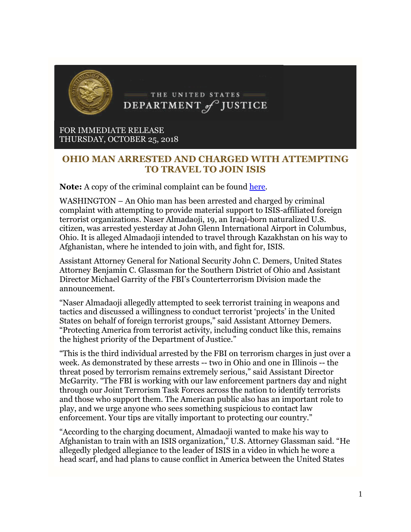

FOR IMMEDIATE RELEASE THURSDAY, OCTOBER 25, 2018

## **OHIO MAN ARRESTED AND CHARGED WITH ATTEMPTING TO TRAVEL TO JOIN ISIS**

**Note:** A copy of the criminal complaint can be found [here.](http://links.govdelivery.com/track?type=click&enid=ZWFzPTEmbWFpbGluZ2lkPTIwMTgxMDI1Ljk2NzU2MTYxJm1lc3NhZ2VpZD1NREItUFJELUJVTC0yMDE4MTAyNS45Njc1NjE2MSZkYXRhYmFzZWlkPTEwMDEmc2VyaWFsPTE3MzkzOTY4JmVtYWlsaWQ9YWJoYUBjdG5ld3Mub3JnJnVzZXJpZD1hYmhhQGN0bmV3cy5vcmcmZmw9JmV4dHJhPU11bHRpdmFyaWF0ZUlkPSYmJg==&&&101&&&https://www.justice.gov/opa/press-release/file/1104461/download?utm_medium=email&utm_source=govdelivery)

WASHINGTON – An Ohio man has been arrested and charged by criminal complaint with attempting to provide material support to ISIS-affiliated foreign terrorist organizations. Naser Almadaoji, 19, an Iraqi-born naturalized U.S. citizen, was arrested yesterday at John Glenn International Airport in Columbus, Ohio. It is alleged Almadaoji intended to travel through Kazakhstan on his way to Afghanistan, where he intended to join with, and fight for, ISIS.

Assistant Attorney General for National Security John C. Demers, United States Attorney Benjamin C. Glassman for the Southern District of Ohio and Assistant Director Michael Garrity of the FBI's Counterterrorism Division made the announcement.

"Naser Almadaoji allegedly attempted to seek terrorist training in weapons and tactics and discussed a willingness to conduct terrorist 'projects' in the United States on behalf of foreign terrorist groups," said Assistant Attorney Demers. "Protecting America from terrorist activity, including conduct like this, remains the highest priority of the Department of Justice."

"This is the third individual arrested by the FBI on terrorism charges in just over a week. As demonstrated by these arrests -- two in Ohio and one in Illinois -- the threat posed by terrorism remains extremely serious," said Assistant Director McGarrity. "The FBI is working with our law enforcement partners day and night through our Joint Terrorism Task Forces across the nation to identify terrorists and those who support them. The American public also has an important role to play, and we urge anyone who sees something suspicious to contact law enforcement. Your tips are vitally important to protecting our country."

"According to the charging document, Almadaoji wanted to make his way to Afghanistan to train with an ISIS organization," U.S. Attorney Glassman said. "He allegedly pledged allegiance to the leader of ISIS in a video in which he wore a head scarf, and had plans to cause conflict in America between the United States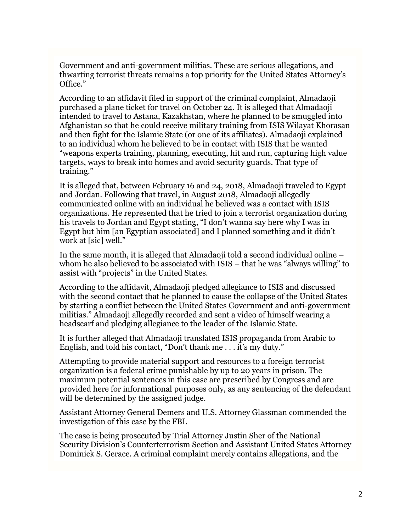Government and anti-government militias. These are serious allegations, and thwarting terrorist threats remains a top priority for the United States Attorney's Office."

According to an affidavit filed in support of the criminal complaint, Almadaoji purchased a plane ticket for travel on October 24. It is alleged that Almadaoji intended to travel to Astana, Kazakhstan, where he planned to be smuggled into Afghanistan so that he could receive military training from ISIS Wilayat Khorasan and then fight for the Islamic State (or one of its affiliates). Almadaoji explained to an individual whom he believed to be in contact with ISIS that he wanted "weapons experts training, planning, executing, hit and run, capturing high value targets, ways to break into homes and avoid security guards. That type of training."

It is alleged that, between February 16 and 24, 2018, Almadaoji traveled to Egypt and Jordan. Following that travel, in August 2018, Almadaoji allegedly communicated online with an individual he believed was a contact with ISIS organizations. He represented that he tried to join a terrorist organization during his travels to Jordan and Egypt stating, "I don't wanna say here why I was in Egypt but him [an Egyptian associated] and I planned something and it didn't work at [sic] well."

In the same month, it is alleged that Almadaoji told a second individual online – whom he also believed to be associated with ISIS – that he was "always willing" to assist with "projects" in the United States.

According to the affidavit, Almadaoji pledged allegiance to ISIS and discussed with the second contact that he planned to cause the collapse of the United States by starting a conflict between the United States Government and anti-government militias." Almadaoji allegedly recorded and sent a video of himself wearing a headscarf and pledging allegiance to the leader of the Islamic State.

It is further alleged that Almadaoji translated ISIS propaganda from Arabic to English, and told his contact, "Don't thank me . . . it's my duty."

Attempting to provide material support and resources to a foreign terrorist organization is a federal crime punishable by up to 20 years in prison. The maximum potential sentences in this case are prescribed by Congress and are provided here for informational purposes only, as any sentencing of the defendant will be determined by the assigned judge.

Assistant Attorney General Demers and U.S. Attorney Glassman commended the investigation of this case by the FBI.

The case is being prosecuted by Trial Attorney Justin Sher of the National Security Division's Counterterrorism Section and Assistant United States Attorney Dominick S. Gerace. A criminal complaint merely contains allegations, and the